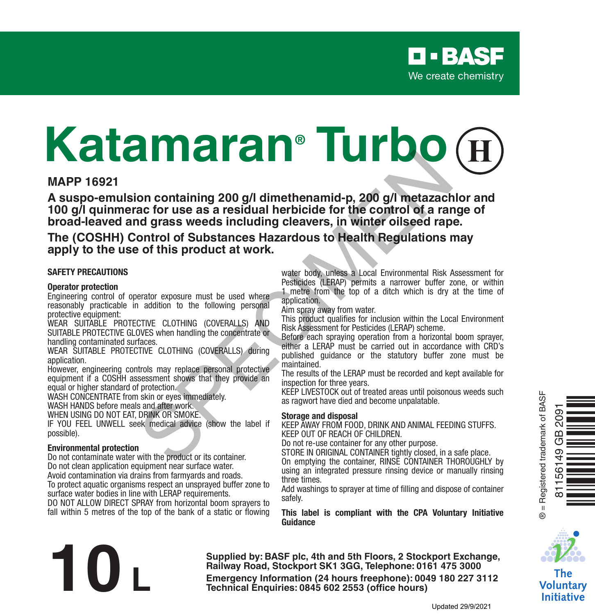# **Katamaran® Turbo**

#### **MAPP 16921**

**A suspo-emulsion containing 200 g/l dimethenamid-p, 200 g/l metazachlor and 100 g/l quinmerac for use as a residual herbicide for the control of a range of broad-leaved and grass weeds including cleavers, in winter oilseed rape.** For the same of this product at work.<br>
The same of the same of the scribing control of substances Hazardous to Health Regulations is of this product at work.<br>
We are same including cleavers, in winter oilseed rap<br>
ontrol o

**The (COSHH) Control of Substances Hazardous to Health Regulations may apply to the use of this product at work.**

#### **SAFETY PRECAUTIONS**

#### **Operator protection**

Engineering control of operator exposure must be used where reasonably practicable in addition to the following personal protective equipment:

WEAR SUITABLE PROTECTIVE CLOTHING (COVERALLS) AND SUITABLE PROTECTIVE GLOVES when handling the concentrate or handling contaminated surfaces.

WEAR SUITABLE PROTECTIVE CLOTHING (COVERALLS) during application.

However, engineering controls may replace personal protective equipment if a COSHH assessment shows that they provide an equal or higher standard of protection.

WASH CONCENTRATE from skin or eyes immediately.

WASH HANDS before meals and after work.

WHEN USING DO NOT EAT, DRINK OR SMOKE.

IF YOU FEEL UNWELL seek medical advice (show the label if possible).

#### **Environmental protection**

Do not contaminate water with the product or its container. Do not clean application equipment near surface water.

Avoid contamination via drains from farmyards and roads.

To protect aquatic organisms respect an unsprayed buffer zone to surface water bodies in line with LERAP requirements.

DO NOT ALLOW DIRECT SPRAY from horizontal boom sprayers to fall within 5 metres of the top of the bank of a static or flowing water body, unless a Local Environmental Risk Assessment for Pesticides (LERAP) permits a narrower buffer zone, or within 1 metre from the top of a ditch which is dry at the time of application.

Aim spray away from water.

This product qualifies for inclusion within the Local Environment Risk Assessment for Pesticides (LERAP) scheme.

Before each spraying operation from a horizontal boom sprayer. either a LERAP must be carried out in accordance with CRD's published guidance or the statutory buffer zone must be maintained.

The results of the LERAP must be recorded and kept available for inspection for three years.

KEEP LIVESTOCK out of treated areas until poisonous weeds such as ragwort have died and become unpalatable.

#### **Storage and disposal**

KEEP AWAY FROM FOOD, DRINK AND ANIMAL FEEDING STUFFS. KEEP OUT OF REACH OF CHILDREN.

Do not re-use container for any other purpose.

STORE IN ORIGINAL CONTAINER tightly closed, in a safe place. On emptying the container, RINSE CONTAINER THOROUGHLY by using an integrated pressure rinsing device or manually rinsing

three times. Add washings to sprayer at time of filling and dispose of container

safely. **This label is compliant with the CPA Voluntary Initiative Guidance**



81156149 GB 2091

 $\Omega$  $\overline{C}$  $\overline{9}$ 561 Ò<br>No bònaichean<br>Dùnaichean

The Voluntarv **Initiative** 

**Supplied by: BASF plc, 4th and 5th Floors, 2 Stockport Exchange, Railway Road, Stockport SK1 3GG, Telephone: 0161 475 3000 Emergency Information (24 hours freephone): 0049 180 227 3112<br>
<b>Emergency Information (24 hours freephone): 0049 180 227 3112<br>
Technical Enquiries: 0845 602 2553 (office hours)<br>
Updated 29/9/2021**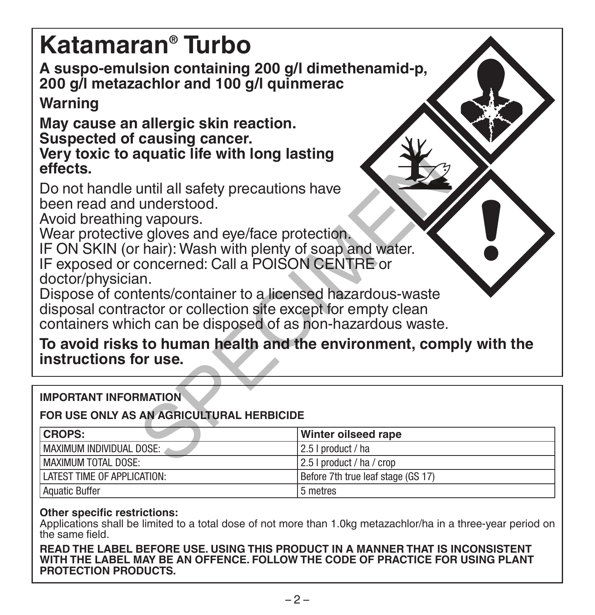# **Katamaran® Turbo**

**A suspo-emulsion containing 200 g/l dimethenamid-p, 200 g/l metazachlor and 100 g/l quinmerac**

# **Warning**

**May cause an allergic skin reaction. Suspected of causing cancer. Very toxic to aquatic life with long lasting effects.**

Do not handle until all safety precautions have been read and understood.

Avoid breathing vapours.

Wear protective gloves and eye/face protection.

IF ON SKIN (or hair): Wash with plenty of soap and water. IF exposed or concerned: Call a POISON CENTRE or doctor/physician.

Dispose of contents/container to a licensed hazardous-waste disposal contractor or collection site except for empty clean containers which can be disposed of as non-hazardous waste. aquatic life with long lasting<br>
until all safety precautions have<br>
understood.<br>
g vapours.<br>
e gloves and eye/face protection.<br>
In:<br>
tents/container to a licensed hazardous-waste<br>
an.<br>
tents/container to a licensed hazardou

**To avoid risks to human health and the environment, comply with the instructions for use.**

**IMPORTANT INFORMATION**

# **FOR USE ONLY AS AN AGRICULTURAL HERBICIDE**

| <b>CROPS:</b>               | Winter oilseed rape                  |
|-----------------------------|--------------------------------------|
| MAXIMUM INDIVIDUAL DOSE:    | l 2.5 I product / ha                 |
| l MAXIMUM TOTAL DOSE:       | 2.5 I product / ha / crop            |
| LATEST TIME OF APPLICATION: | l Before 7th true leaf stage (GS 17) |
| Aquatic Buffer              | 5 metres                             |

# **Other specific restrictions:**

Applications shall be limited to a total dose of not more than 1.0kg metazachlor/ha in a three-year period on the same field.

**READ THE LABEL BEFORE USE. USING THIS PRODUCT IN A MANNER THAT IS INCONSISTENT WITH THE LABEL MAY BE AN OFFENCE. FOLLOW THE CODE OF PRACTICE FOR USING PLANT PROTECTION PRODUCTS.**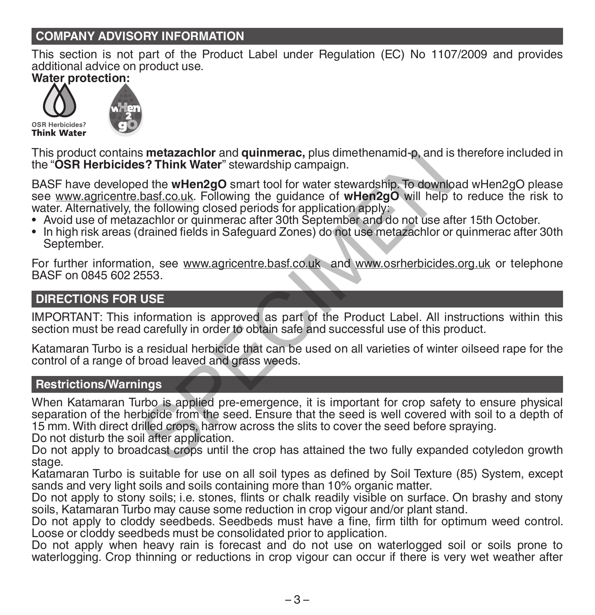# **COMPANY ADVISORY INFORMATION**

This section is not part of the Product Label under Regulation (EC) No 1107/2009 and provides additional advice on product use.

**Water protection:**





This product contains **metazachlor** and **quinmerac,** plus dimethenamid-p, and is therefore included in the "**OSR Herbicides? Think Water**" stewardship campaign.

BASF have developed the **wHen2gO** smart tool for water stewardship. To download wHen2gO please see www.agricentre.basf.co.uk. Following the guidance of **wHen2gO** will help to reduce the risk to water. Alternatively, the following closed periods for application apply:<br>• Avoid use of metazachlor or quinmerac after 30th September and do not use after 15th October.

- 
- In high risk areas (drained fields in Safeguard Zones) do not use metazachlor or quinmerac after 30th September.

For further information, see www.agricentre.basf.co.uk and www.osrherbicides.org.uk or telephone BASF on 0845 602 2553.

# **DIRECTIONS FOR USE**

IMPORTANT: This information is approved as part of the Product Label. All instructions within this section must be read carefully in order to obtain safe and successful use of this product.

Katamaran Turbo is a residual herbicide that can be used on all varieties of winter oilseed rape for the control of a range of broad leaved and grass weeds.

# **Restrictions/Warnings**

When Katamaran Turbo is applied pre-emergence, it is important for crop safety to ensure physical separation of the herbicide from the seed. Ensure that the seed is well covered with soil to a depth of 15 mm. With direct drilled crops, harrow across the slits to cover the seed before spraying. Is metazachior and quinmerac, plus dimethenamid-p, and is<br>
se? Think Water" stewardship campaign.<br>
ded the when2gO smart tool for water stewardship. To downlo<br>
chast.co.uk. Following the guidance of wHen2gO will help<br>
the

Do not disturb the soil after application.

Do not apply to broadcast crops until the crop has attained the two fully expanded cotyledon growth stage.

Katamaran Turbo is suitable for use on all soil types as defined by Soil Texture (85) System, except sands and very light soils and soils containing more than 10% organic matter.

Do not apply to stony soils; i.e. stones, flints or chalk readily visible on surface. On brashy and stony soils, Katamaran Turbo may cause some reduction in crop vigour and/or plant stand.

Do not apply to cloddy seedbeds. Seedbeds must have a fine, firm tilth for optimum weed control. Loose or cloddy seedbeds must be consolidated prior to application.

Do not apply when heavy rain is forecast and do not use on waterlogged soil or soils prone to waterlogging. Crop thinning or reductions in crop vigour can occur if there is very wet weather after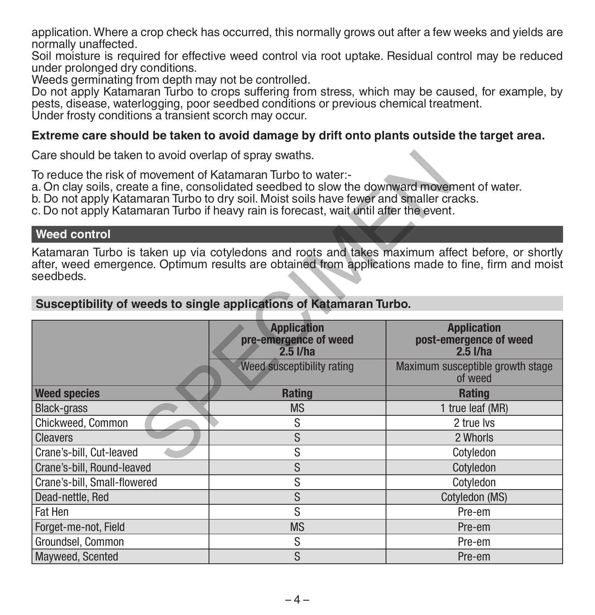application. Where a crop check has occurred, this normally grows out after a few weeks and yields are normally unaffected.

Soil moisture is required for effective weed control via root uptake. Residual control may be reduced under prolonged dry conditions.

Weeds germinating from depth may not be controlled.

Do not apply Katamaran Turbo to crops suffering from stress, which may be caused, for example, by pests, disease, waterlogging, poor seedbed conditions or previous chemical treatment.

Under frosty conditions a transient scorch may occur.

#### **Extreme care should be taken to avoid damage by drift onto plants outside the target area.**

Care should be taken to avoid overlap of spray swaths.

#### **Weed control**

| Care should be taken to avoid overlap of spray swaths.                                                                                                                                                                                                                                                                                             |                                                                                                                                                                                                        |                                                              |  |  |
|----------------------------------------------------------------------------------------------------------------------------------------------------------------------------------------------------------------------------------------------------------------------------------------------------------------------------------------------------|--------------------------------------------------------------------------------------------------------------------------------------------------------------------------------------------------------|--------------------------------------------------------------|--|--|
| To reduce the risk of movement of Katamaran Turbo to water:-<br>a. On clay soils, create a fine, consolidated seedbed to slow the downward movement of water.<br>b. Do not apply Katamaran Turbo to dry soil. Moist soils have fewer and smaller cracks.<br>c. Do not apply Katamaran Turbo if heavy rain is forecast, wait until after the event. |                                                                                                                                                                                                        |                                                              |  |  |
| <b>Weed control</b>                                                                                                                                                                                                                                                                                                                                |                                                                                                                                                                                                        |                                                              |  |  |
| seedbeds.                                                                                                                                                                                                                                                                                                                                          | Katamaran Turbo is taken up via cotyledons and roots and takes maximum affect before, or shortly<br>after, weed emergence. Optimum results are obtained from applications made to fine, firm and moist |                                                              |  |  |
| Susceptibility of weeds to single applications of Katamaran Turbo.                                                                                                                                                                                                                                                                                 |                                                                                                                                                                                                        |                                                              |  |  |
|                                                                                                                                                                                                                                                                                                                                                    | <b>Application</b><br>pre-emergence of weed<br>$2.5$ l/ha                                                                                                                                              | <b>Application</b><br>post-emergence of weed<br>$2.5$ $I/ha$ |  |  |
|                                                                                                                                                                                                                                                                                                                                                    | Weed susceptibility rating                                                                                                                                                                             | Maximum susceptible growth stage<br>of weed                  |  |  |
| <b>Weed species</b>                                                                                                                                                                                                                                                                                                                                | <b>Rating</b>                                                                                                                                                                                          | <b>Rating</b>                                                |  |  |
| <b>Black-grass</b>                                                                                                                                                                                                                                                                                                                                 | <b>MS</b>                                                                                                                                                                                              | 1 true leaf (MR)                                             |  |  |
| Chickweed, Common                                                                                                                                                                                                                                                                                                                                  | S                                                                                                                                                                                                      | 2 true lvs                                                   |  |  |
| <b>Cleavers</b>                                                                                                                                                                                                                                                                                                                                    | S                                                                                                                                                                                                      | 2 Whorls                                                     |  |  |
| Crane's-bill, Cut-leaved                                                                                                                                                                                                                                                                                                                           | S                                                                                                                                                                                                      | Cotyledon                                                    |  |  |
| Crane's-bill, Round-leaved                                                                                                                                                                                                                                                                                                                         | S                                                                                                                                                                                                      | Cotyledon                                                    |  |  |
| Crane's-bill. Small-flowered                                                                                                                                                                                                                                                                                                                       | S                                                                                                                                                                                                      | Cotyledon                                                    |  |  |
| Dead-nettle, Red                                                                                                                                                                                                                                                                                                                                   | S                                                                                                                                                                                                      | Cotyledon (MS)                                               |  |  |
| <b>Fat Hen</b>                                                                                                                                                                                                                                                                                                                                     | S                                                                                                                                                                                                      | Pre-em                                                       |  |  |
| Forget-me-not, Field                                                                                                                                                                                                                                                                                                                               | <b>MS</b>                                                                                                                                                                                              | Pre-em                                                       |  |  |
| Groundsel, Common                                                                                                                                                                                                                                                                                                                                  | S                                                                                                                                                                                                      | Pre-em                                                       |  |  |
| Mayweed, Scented                                                                                                                                                                                                                                                                                                                                   | S                                                                                                                                                                                                      | Pre-em                                                       |  |  |

#### **Susceptibility of weeds to single applications of Katamaran Turbo.**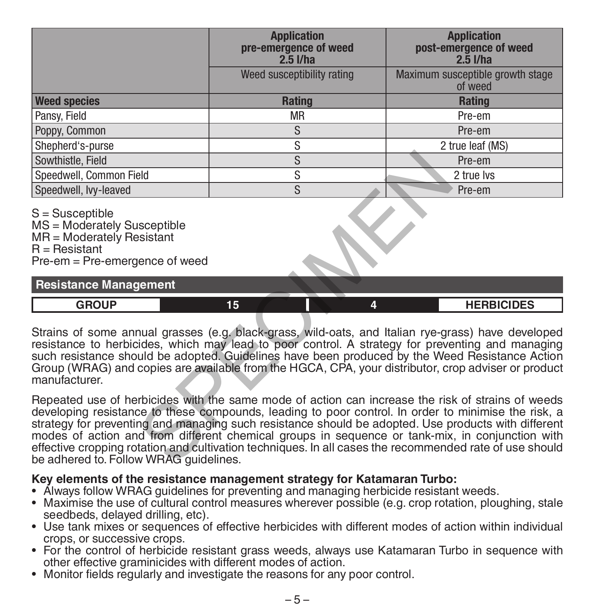|                                                                                                                                                                                                                                                                                                                                                                                                                                  | <b>Application</b><br>pre-emergence of weed<br>$2.5$ $I/ha$ | <b>Application</b><br>post-emergence of weed<br>$2.\overline{5}$ I/ha                                                                                                                                                                                                                                                                                                                                                                                                                                                         |  |  |
|----------------------------------------------------------------------------------------------------------------------------------------------------------------------------------------------------------------------------------------------------------------------------------------------------------------------------------------------------------------------------------------------------------------------------------|-------------------------------------------------------------|-------------------------------------------------------------------------------------------------------------------------------------------------------------------------------------------------------------------------------------------------------------------------------------------------------------------------------------------------------------------------------------------------------------------------------------------------------------------------------------------------------------------------------|--|--|
|                                                                                                                                                                                                                                                                                                                                                                                                                                  | Weed susceptibility rating                                  | Maximum susceptible growth stage<br>of weed                                                                                                                                                                                                                                                                                                                                                                                                                                                                                   |  |  |
| <b>Weed species</b>                                                                                                                                                                                                                                                                                                                                                                                                              | <b>Rating</b>                                               | <b>Rating</b>                                                                                                                                                                                                                                                                                                                                                                                                                                                                                                                 |  |  |
| Pansy, Field                                                                                                                                                                                                                                                                                                                                                                                                                     | <b>MR</b>                                                   | Pre-em                                                                                                                                                                                                                                                                                                                                                                                                                                                                                                                        |  |  |
| Poppy, Common                                                                                                                                                                                                                                                                                                                                                                                                                    | S                                                           | Pre-em                                                                                                                                                                                                                                                                                                                                                                                                                                                                                                                        |  |  |
| Shepherd's-purse                                                                                                                                                                                                                                                                                                                                                                                                                 | S                                                           | 2 true leaf (MS)                                                                                                                                                                                                                                                                                                                                                                                                                                                                                                              |  |  |
| Sowthistle, Field                                                                                                                                                                                                                                                                                                                                                                                                                | S                                                           | Pre-em                                                                                                                                                                                                                                                                                                                                                                                                                                                                                                                        |  |  |
| Speedwell, Common Field                                                                                                                                                                                                                                                                                                                                                                                                          | $\overline{s}$                                              | 2 true lvs                                                                                                                                                                                                                                                                                                                                                                                                                                                                                                                    |  |  |
| Speedwell, Ivv-leaved                                                                                                                                                                                                                                                                                                                                                                                                            | S                                                           | Pre-em                                                                                                                                                                                                                                                                                                                                                                                                                                                                                                                        |  |  |
| S = Susceptible<br>MS = Moderately Susceptible<br>MR = Moderately Resistant<br>$R =$ Resistant<br>Pre-em = Pre-emergence of weed<br><b>Resistance Management</b>                                                                                                                                                                                                                                                                 |                                                             |                                                                                                                                                                                                                                                                                                                                                                                                                                                                                                                               |  |  |
| <b>GROUP</b>                                                                                                                                                                                                                                                                                                                                                                                                                     | 15<br>4                                                     | <b>HERBICIDES</b>                                                                                                                                                                                                                                                                                                                                                                                                                                                                                                             |  |  |
| Strains of some annual grasses (e.g. black-grass, wild-oats, and Italian rye-grass) have developed<br>resistance to herbicides, which may lead to poor control. A strategy for preventing and managing<br>such resistance should be adopted. Guidelines have been produced by the Weed Resistance Action<br>Group (WRAG) and copies are available from the HGCA, CPA, your distributor, crop adviser or product<br>manufacturer. |                                                             |                                                                                                                                                                                                                                                                                                                                                                                                                                                                                                                               |  |  |
| be adhered to. Follow WRAG quidelines.                                                                                                                                                                                                                                                                                                                                                                                           |                                                             | Repeated use of herbicides with the same mode of action can increase the risk of strains of weeds<br>developing resistance to these compounds, leading to poor control. In order to minimise the risk, a<br>strategy for preventing and managing such resistance should be adopted. Use products with different<br>modes of action and from different chemical groups in sequence or tank-mix, in conjunction with<br>effective cropping rotation and cultivation techniques. In all cases the recommended rate of use should |  |  |

# **Key elements of the resistance management strategy for Katamaran Turbo:**

- Always follow WRAG guidelines for preventing and managing herbicide resistant weeds.
- Maximise the use of cultural control measures wherever possible (e.g. crop rotation, ploughing, stale<br>seedbeds, delaved drilling, etc),
- Use tank mixes or sequences of effective herbicides with different modes of action within individual crops, or successive crops.
- For the control of herbicide resistant grass weeds, always use Katamaran Turbo in sequence with other effective graminicides with different modes of action.
- Monitor fields regularly and investigate the reasons for any poor control.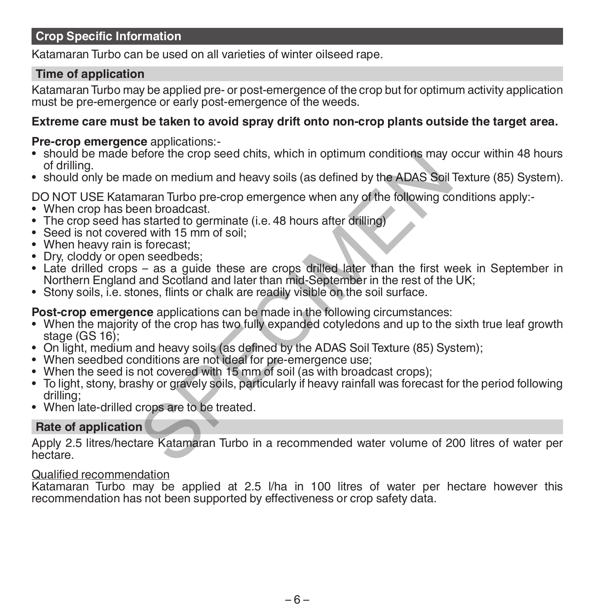# **Crop Specific Information**

Katamaran Turbo can be used on all varieties of winter oilseed rape.

# **Time of application**

Katamaran Turbo may be applied pre- or post-emergence of the crop but for optimum activity application must be pre-emergence or early post-emergence of the weeds.

## **Extreme care must be taken to avoid spray drift onto non-crop plants outside the target area.**

### **Pre-crop emergence** applications:-

- should be made before the crop seed chits, which in optimum conditions may occur within 48 hours of drilling.
- should only be made on medium and heavy soils (as defined by the ADAS Soil Texture (85) System).

DO NOT USE Katamaran Turbo pre-crop emergence when any of the following conditions apply:-<br>• When crop has been broadcast.

- 
- The crop seed has started to germinate (i.e. 48 hours after drilling)
- Seed is not covered with 15 mm of soil;
- When heavy rain is forecast;
- Dry, cloddy or open seedbeds;
- Late drilled crops as a guide these are crops drilled later than the first week in September in Northern England and Scotland and later than mid-September in the rest of the UK; efore the crop seed chits, which in optimum conditions may<br>ade on medium and heavy soils (as defined by the ADAS Soil<br>naran Turbo pre-crop emergence when any of the following co<br>een broadcast.<br>s started to germinate (i.e.
- Stony soils, i.e. stones, flints or chalk are readily visible on the soil surface.

**Post-crop emergence** applications can be made in the following circumstances:

- When the majority of the crop has two fully expanded cotyledons and up to the sixth true leaf growth stage (GS 16):
- On light, medium and heavy soils (as defined by the ADAS Soil Texture (85) System);
- When seedbed conditions are not ideal for pre-emergence use;
- When the seed is not covered with 15 mm of soil (as with broadcast crops);
- To light, stony, brashy or gravely soils, particularly if heavy rainfall was forecast for the period following drilling;
- When late-drilled crops are to be treated.

# **Rate of application**

Apply 2.5 litres/hectare Katamaran Turbo in a recommended water volume of 200 litres of water per hectare.

#### Qualified recommendation

Katamaran Turbo may be applied at 2.5 l/ha in 100 litres of water per hectare however this recommendation has not been supported by effectiveness or crop safety data.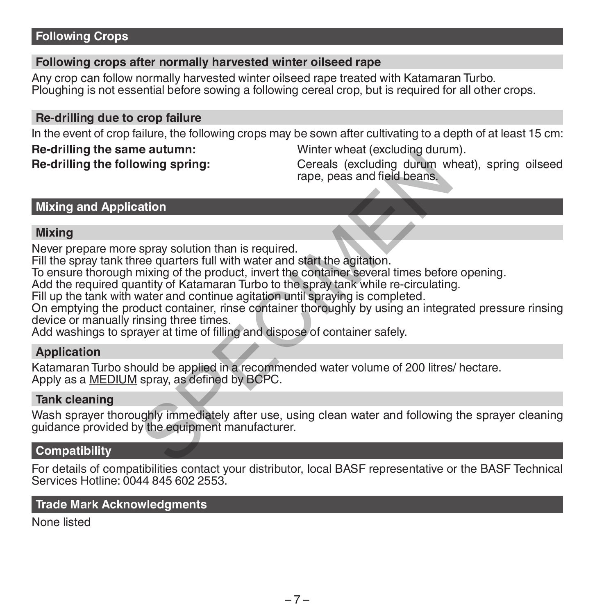# **Following Crops**

#### **Following crops after normally harvested winter oilseed rape**

Any crop can follow normally harvested winter oilseed rape treated with Katamaran Turbo. Ploughing is not essential before sowing a following cereal crop, but is required for all other crops.

#### **Re-drilling due to crop failure**

In the event of crop failure, the following crops may be sown after cultivating to a depth of at least 15 cm:

# **Re-drilling the same autumn:** Winter wheat (excluding durum).<br> **Re-drilling the following spring:** Cereals (excluding durum wheat

**Re-drilling the following spring:** Cereals (excluding durum wheat), spring oilseed rape, peas and field beans.

# **Mixing and Application**

## **Mixing**

Never prepare more spray solution than is required.

Fill the spray tank three quarters full with water and start the agitation.

To ensure thorough mixing of the product, invert the container several times before opening.

Add the required quantity of Katamaran Turbo to the spray tank while re-circulating.

Fill up the tank with water and continue agitation until spraying is completed.

On emptying the product container, rinse container thoroughly by using an integrated pressure rinsing device or manually rinsing three times. wine wheat (excluding durin<br>wing spring:<br>the detail of the product, invert when the adjitation.<br>the product are quarters full with water and start the agitation.<br>the mixing of the product, invert the container several time

Add washings to sprayer at time of filling and dispose of container safely.

## **Application**

Katamaran Turbo should be applied in a recommended water volume of 200 litres/ hectare. Apply as a MEDIUM spray, as defined by BCPC.

#### **Tank cleaning**

Wash sprayer thoroughly immediately after use, using clean water and following the sprayer cleaning guidance provided by the equipment manufacturer.

#### **Compatibility**

For details of compatibilities contact your distributor, local BASF representative or the BASF Technical Services Hotline: 0044 845 602 2553.

#### **Trade Mark Acknowledgments**

None listed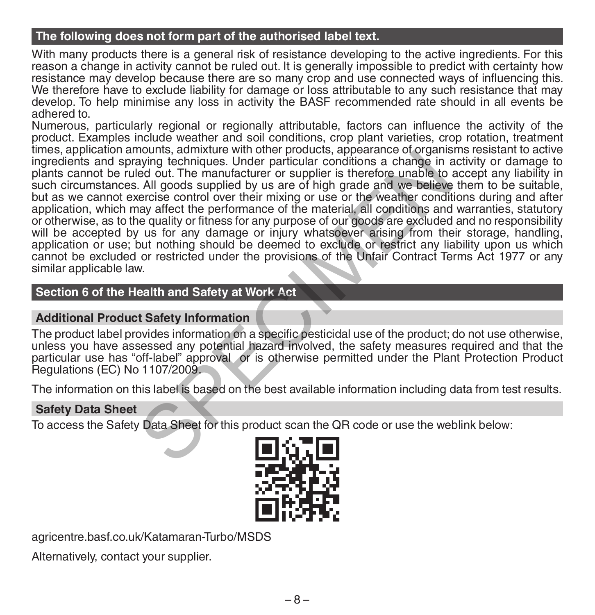# **The following does not form part of the authorised label text.**

With many products there is a general risk of resistance developing to the active ingredients. For this reason a change in activity cannot be ruled out. It is generally impossible to predict with certainty how resistance may develop because there are so many crop and use connected ways of influencing this. We therefore have to exclude liability for damage or loss attributable to any such resistance that may develop. To help minimise any loss in activity the BASF recommended rate should in all events be adhered to.

Numerous, particularly regional or regionally attributable, factors can influence the activity of the product. Examples include weather and soil conditions, crop plant varieties, crop rotation, treatment times, application amounts, admixture with other products, appearance of organisms resistant to active ingredients and spraying techniques. Under particular conditions a change in activity or damage to plants cannot be ruled out. The manufacturer or supplier is therefore unable to accept any liability in such circumstances. All goods supplied by us are of high grade and we believe them to be suitable, but as we cannot exercise control over their mixing or use or the weather conditions during and after application, which may affect the performance of the material, all conditions and warranties, statutory or otherwise, as to the quality or fitness for any purpose of our goods are excluded and no responsibility will be accepted by us for any damage or injury whatsoever arising from their storage, handling, application or use; but nothing should be deemed to exclude or restrict any liability upon us which cannot be excluded or restricted under the provisions of the Unfair Contract Terms Act 1977 or any similar applicable law. nouting, authorite with other protoucle, appearance or originalized to a control and paying techniques. Under particular conditions a change in ed out. The manufacturer or supplier is therefore unable to child goods suppli

# **Section 6 of the Health and Safety at Work Act**

# **Additional Product Safety Information**

The product label provides information on a specific pesticidal use of the product; do not use otherwise, unless you have assessed any potential hazard involved, the safety measures required and that the particular use has "off-label" approval or is otherwise permitted under the Plant Protection Product Regulations (EC) No 1107/2009.

The information on this label is based on the best available information including data from test results.

# **Safety Data Sheet**

To access the Safety Data Sheet for this product scan the QR code or use the weblink below:



agricentre.basf.co.uk/Katamaran-Turbo/MSDS

Alternatively, contact your supplier.